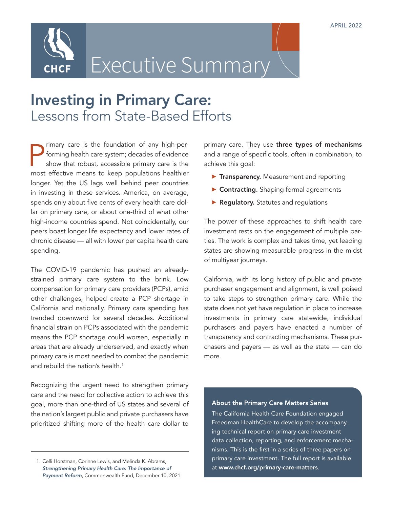

## Executive Summary

## Investing in Primary Care: Lessons from State-Based Efforts

Finary care is the foundation of any high-per-<br>forming health care system; decades of evidence<br>show that robust, accessible primary care is the<br>most effective means to keep populations healthier rimary care is the foundation of any high-performing health care system; decades of evidence show that robust, accessible primary care is the longer. Yet the US lags well behind peer countries in investing in these services. America, on average, spends only about five cents of every health care dollar on primary care, or about one-third of what other high-income countries spend. Not coincidentally, our peers boast longer life expectancy and lower rates of chronic disease — all with lower per capita health care spending.

The COVID-19 pandemic has pushed an alreadystrained primary care system to the brink. Low compensation for primary care providers (PCPs), amid other challenges, helped create a PCP shortage in California and nationally. Primary care spending has trended downward for several decades. Additional financial strain on PCPs associated with the pandemic means the PCP shortage could worsen, especially in areas that are already underserved, and exactly when primary care is most needed to combat the pandemic and rebuild the nation's health.<sup>1</sup>

Recognizing the urgent need to strengthen primary care and the need for collective action to achieve this goal, more than one-third of US states and several of the nation's largest public and private purchasers have prioritized shifting more of the health care dollar to

primary care. They use three types of mechanisms and a range of specific tools, often in combination, to achieve this goal:

- **Transparency.** Measurement and reporting
- **Contracting.** Shaping formal agreements
- $\blacktriangleright$  Regulatory. Statutes and regulations

The power of these approaches to shift health care investment rests on the engagement of multiple parties. The work is complex and takes time, yet leading states are showing measurable progress in the midst of multiyear journeys.

California, with its long history of public and private purchaser engagement and alignment, is well poised to take steps to strengthen primary care. While the state does not yet have regulation in place to increase investments in primary care statewide, individual purchasers and payers have enacted a number of transparency and contracting mechanisms. These purchasers and payers — as well as the state — can do more.

## About the Primary Care Matters Series

The California Health Care Foundation engaged Freedman HealthCare to develop the accompanying technical report on primary care investment data collection, reporting, and enforcement mechanisms. This is the first in a series of three papers on primary care investment. The full report is available at [www.chcf.org/primary-care-matters](http://www.chcf.org/primary-care-matters
).

<sup>1.</sup> Celli Horstman, Corinne Lewis, and Melinda K. Abrams, *Strengthening Primary Health Care: The Importance of Payment Reform*, Commonwealth Fund, December 10, 2021.